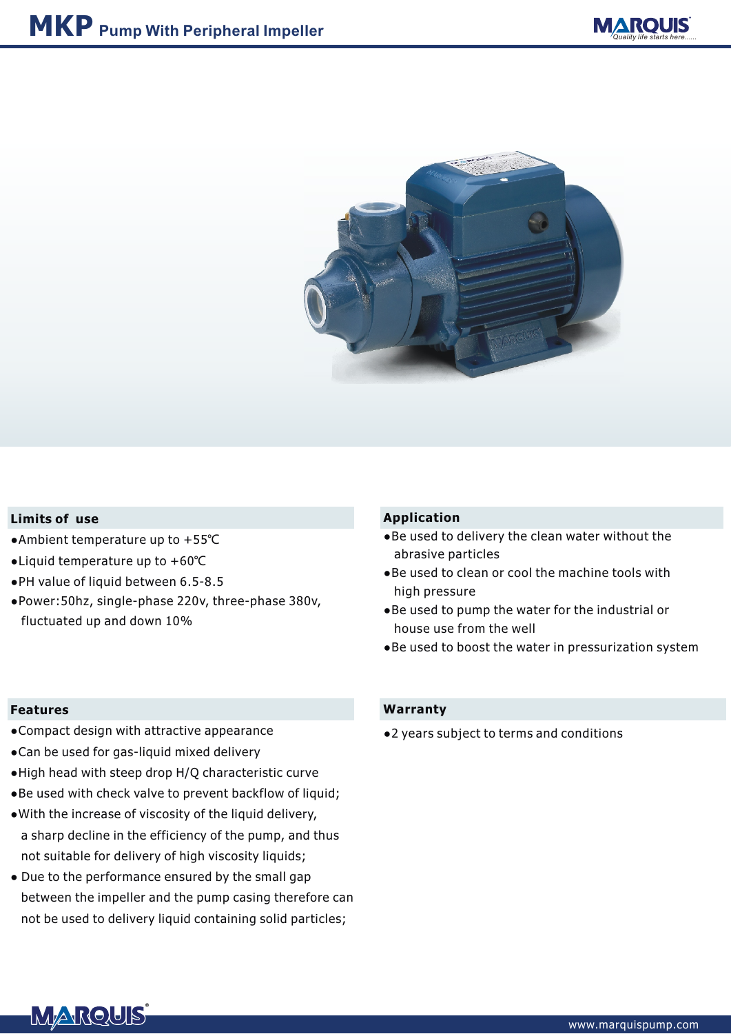



## **Limits of use**

- **●**Ambient temperature up to +55℃
- **●**Liquid temperature up to +60℃
- **●**PH value of liquid between 6.5-8.5
- **●**Power:50hz, single-phase 220v, three-phase 380v, fluctuated up and down 10%

#### **Features**

- **●**Compact design with attractive appearance
- **●**Can be used for gas-liquid mixed delivery
- **●**High head with steep drop H/Q characteristic curve
- **●**Be used with check valve to prevent backflow of liquid;
- **●**With the increase of viscosity of the liquid delivery, a sharp decline in the efficiency of the pump, and thus not suitable for delivery of high viscosity liquids;
- **●** Due to the performance ensured by the small gap between the impeller and the pump casing therefore can not be used to delivery liquid containing solid particles;

## **Application**

- **●**Be used to delivery the clean water without the abrasive particles
- **●**Be used to clean or cool the machine tools with high pressure
- **●**Be used to pump the water for the industrial or house use from the well
- **●**Be used to boost the water in pressurization system

#### **Warranty**

**●**2 years subject to terms and conditions

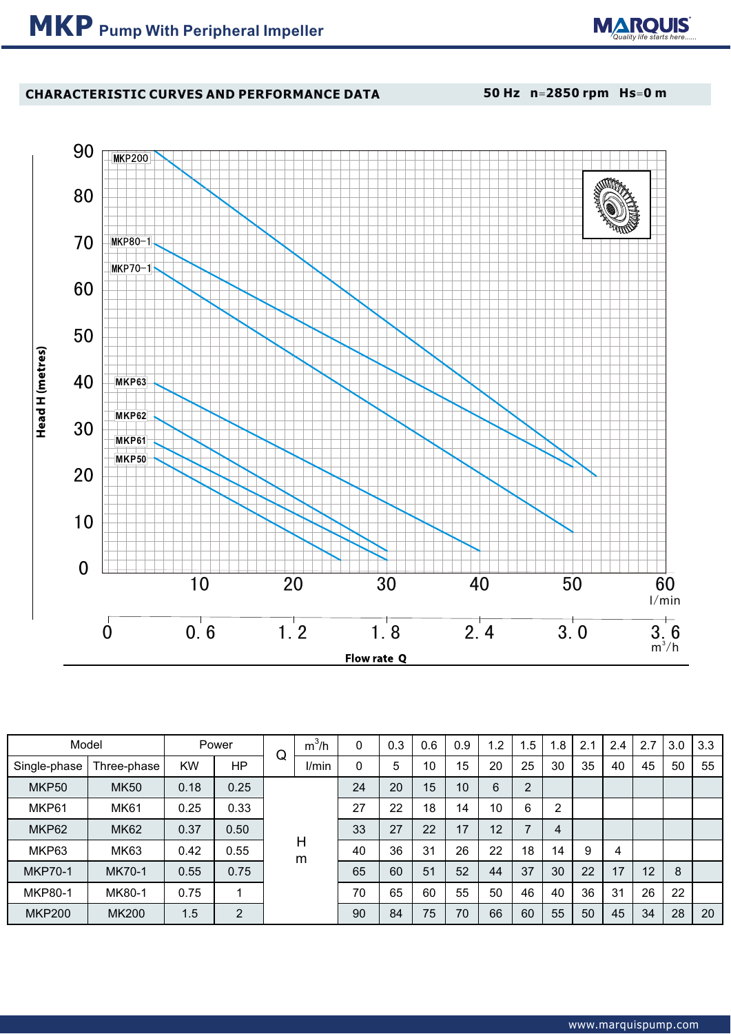

# **CHARACTERISTIC CURVES AND PERFORMANCE DATA**

**50 Hz n**=**2850 rpm Hs**=**0 m**



| Model          |              |           | Power          |        | $m^3/h$ |             | 0.3 | 0.6 | 0.9 | $\overline{2}$ | 1.5            | .8 | 2.1 | 2.4 | 2.7 | 3.0 | 3.3 |
|----------------|--------------|-----------|----------------|--------|---------|-------------|-----|-----|-----|----------------|----------------|----|-----|-----|-----|-----|-----|
| Single-phase   | Three-phase  | <b>KW</b> | HΡ             | Q      | I/min   | $\mathbf 0$ | 5   | 10  | 15  | 20             | 25             | 30 | 35  | 40  | 45  | 50  | 55  |
| MKP50          | <b>MK50</b>  | 0.18      | 0.25           | Н<br>m |         | 24          | 20  | 15  | 10  | 6              | $\overline{2}$ |    |     |     |     |     |     |
| MKP61          | <b>MK61</b>  | 0.25      | 0.33           |        |         | 27          | 22  | 18  | 14  | 10             | 6              | 2  |     |     |     |     |     |
| MKP62          | <b>MK62</b>  | 0.37      | 0.50           |        |         | 33          | 27  | 22  | 17  | 12             | $\overline{7}$ | 4  |     |     |     |     |     |
| MKP63          | <b>MK63</b>  | 0.42      | 0.55           |        |         | 40          | 36  | 31  | 26  | 22             | 18             | 14 | 9   | 4   |     |     |     |
| <b>MKP70-1</b> | MK70-1       | 0.55      | 0.75           |        |         | 65          | 60  | 51  | 52  | 44             | 37             | 30 | 22  | 17  | 12  | 8   |     |
| <b>MKP80-1</b> | MK80-1       | 0.75      | 1              |        |         | 70          | 65  | 60  | 55  | 50             | 46             | 40 | 36  | 31  | 26  | 22  |     |
| <b>MKP200</b>  | <b>MK200</b> | 1.5       | $\overline{2}$ |        |         | 90          | 84  | 75  | 70  | 66             | 60             | 55 | 50  | 45  | 34  | 28  | 20  |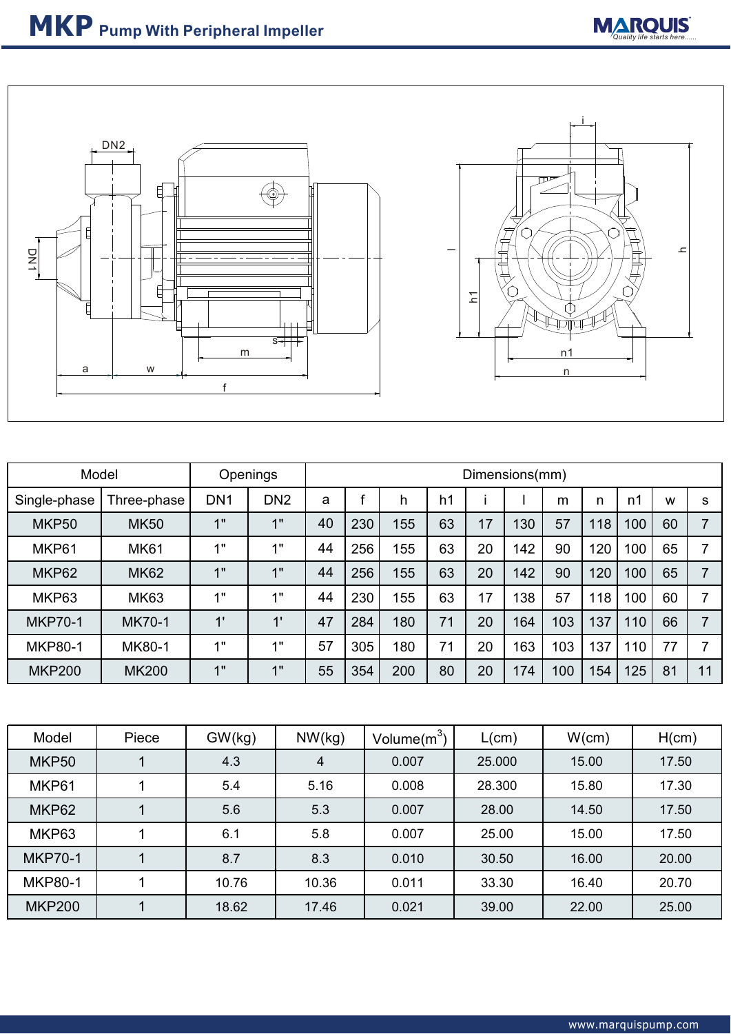



| Model          |               | Openings        |                 | Dimensions(mm) |     |     |    |    |     |     |     |     |    |    |
|----------------|---------------|-----------------|-----------------|----------------|-----|-----|----|----|-----|-----|-----|-----|----|----|
| Single-phase   | Three-phase   | DN <sub>1</sub> | DN <sub>2</sub> | a              |     | h   | h1 |    |     | m   | n   | n1  | W  | S  |
| MKP50          | <b>MK50</b>   | 1"              | 1"              | 40             | 230 | 155 | 63 | 17 | 130 | 57  | 118 | 100 | 60 | 7  |
| MKP61          | <b>MK61</b>   | 1"              | 1"              | 44             | 256 | 155 | 63 | 20 | 142 | 90  | 120 | 100 | 65 | ⇁  |
| MKP62          | <b>MK62</b>   | 1"              | 1"              | 44             | 256 | 155 | 63 | 20 | 142 | 90  | 120 | 100 | 65 | ⇁  |
| MKP63          | <b>MK63</b>   | 1"              | 1"              | 44             | 230 | 155 | 63 | 17 | 138 | 57  | 118 | 100 | 60 | ⇁  |
| <b>MKP70-1</b> | <b>MK70-1</b> | 1'              | 1'              | 47             | 284 | 180 | 71 | 20 | 164 | 103 | 137 | 110 | 66 |    |
| <b>MKP80-1</b> | MK80-1        | 1"              | 1"              | 57             | 305 | 180 | 71 | 20 | 163 | 103 | 137 | 110 | 77 | ⇁  |
| <b>MKP200</b>  | <b>MK200</b>  | 1"              | 1"              | 55             | 354 | 200 | 80 | 20 | 174 | 100 | 154 | 125 | 81 | 11 |

| Model          | Piece | GW(kg) | NW(kg) | Volume $(m^3)$ | L(cm)  | W(cm) | H(cm) |  |
|----------------|-------|--------|--------|----------------|--------|-------|-------|--|
| MKP50          |       | 4.3    | 4      | 0.007          | 25.000 | 15.00 | 17.50 |  |
| MKP61          |       | 5.4    | 5.16   | 0.008          | 28.300 | 15.80 | 17.30 |  |
| MKP62          |       | 5.6    | 5.3    | 0.007          | 28.00  | 14.50 | 17.50 |  |
| MKP63          |       | 6.1    | 5.8    | 0.007          | 25.00  | 15.00 | 17.50 |  |
| <b>MKP70-1</b> |       | 8.7    | 8.3    | 0.010          | 30.50  | 16.00 | 20.00 |  |
| <b>MKP80-1</b> |       | 10.76  | 10.36  | 0.011          | 33.30  | 16.40 | 20.70 |  |
| <b>MKP200</b>  |       | 18.62  | 17.46  | 0.021          | 39.00  | 22.00 | 25.00 |  |